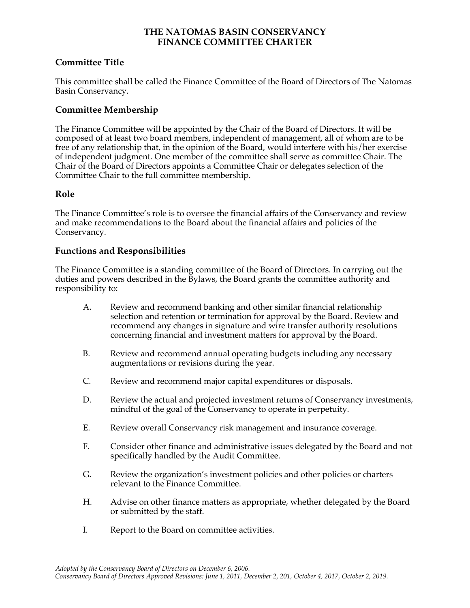### **THE NATOMAS BASIN CONSERVANCY FINANCE COMMITTEE CHARTER**

## **Committee Title**

This committee shall be called the Finance Committee of the Board of Directors of The Natomas Basin Conservancy.

# **Committee Membership**

The Finance Committee will be appointed by the Chair of the Board of Directors. It will be composed of at least two board members, independent of management, all of whom are to be free of any relationship that, in the opinion of the Board, would interfere with his/her exercise of independent judgment. One member of the committee shall serve as committee Chair. The Chair of the Board of Directors appoints a Committee Chair or delegates selection of the Committee Chair to the full committee membership.

## **Role**

The Finance Committee's role is to oversee the financial affairs of the Conservancy and review and make recommendations to the Board about the financial affairs and policies of the Conservancy.

## **Functions and Responsibilities**

The Finance Committee is a standing committee of the Board of Directors. In carrying out the duties and powers described in the Bylaws, the Board grants the committee authority and responsibility to:

- A. Review and recommend banking and other similar financial relationship selection and retention or termination for approval by the Board. Review and recommend any changes in signature and wire transfer authority resolutions concerning financial and investment matters for approval by the Board.
- B. Review and recommend annual operating budgets including any necessary augmentations or revisions during the year.
- C. Review and recommend major capital expenditures or disposals.
- D. Review the actual and projected investment returns of Conservancy investments, mindful of the goal of the Conservancy to operate in perpetuity.
- E. Review overall Conservancy risk management and insurance coverage.
- F. Consider other finance and administrative issues delegated by the Board and not specifically handled by the Audit Committee.
- G. Review the organization's investment policies and other policies or charters relevant to the Finance Committee.
- H. Advise on other finance matters as appropriate, whether delegated by the Board or submitted by the staff.
- I. Report to the Board on committee activities.